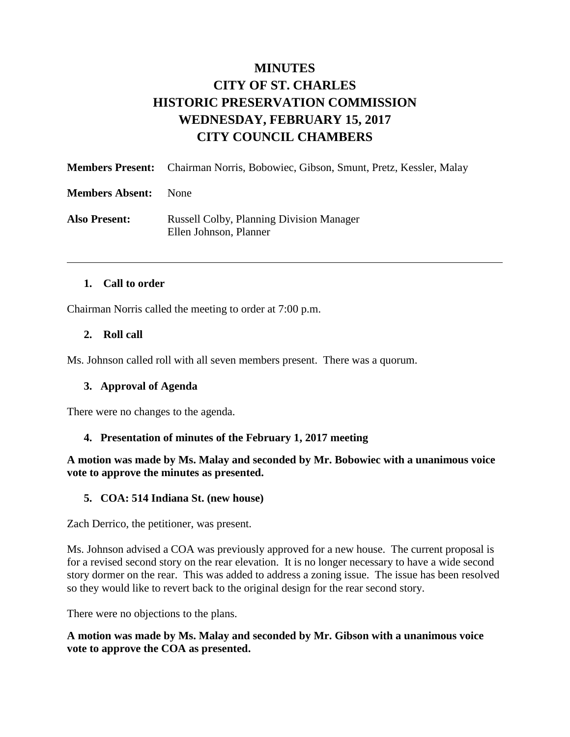# **MINUTES CITY OF ST. CHARLES HISTORIC PRESERVATION COMMISSION WEDNESDAY, FEBRUARY 15, 2017 CITY COUNCIL CHAMBERS**

|                        | <b>Members Present:</b> Chairman Norris, Bobowiec, Gibson, Smunt, Pretz, Kessler, Malay |
|------------------------|-----------------------------------------------------------------------------------------|
| <b>Members Absent:</b> | <b>None</b>                                                                             |
| <b>Also Present:</b>   | <b>Russell Colby, Planning Division Manager</b><br>Ellen Johnson, Planner               |

### **1. Call to order**

Chairman Norris called the meeting to order at 7:00 p.m.

### **2. Roll call**

Ms. Johnson called roll with all seven members present. There was a quorum.

#### **3. Approval of Agenda**

There were no changes to the agenda.

#### **4. Presentation of minutes of the February 1, 2017 meeting**

**A motion was made by Ms. Malay and seconded by Mr. Bobowiec with a unanimous voice vote to approve the minutes as presented.** 

#### **5. COA: 514 Indiana St. (new house)**

Zach Derrico, the petitioner, was present.

Ms. Johnson advised a COA was previously approved for a new house. The current proposal is for a revised second story on the rear elevation. It is no longer necessary to have a wide second story dormer on the rear. This was added to address a zoning issue. The issue has been resolved so they would like to revert back to the original design for the rear second story.

There were no objections to the plans.

**A motion was made by Ms. Malay and seconded by Mr. Gibson with a unanimous voice vote to approve the COA as presented.**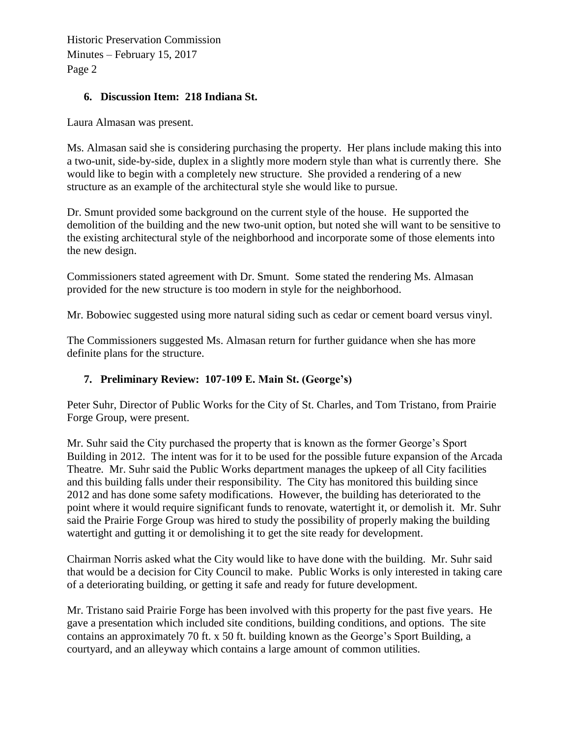Historic Preservation Commission Minutes – February 15, 2017 Page 2

## **6. Discussion Item: 218 Indiana St.**

Laura Almasan was present.

Ms. Almasan said she is considering purchasing the property. Her plans include making this into a two-unit, side-by-side, duplex in a slightly more modern style than what is currently there. She would like to begin with a completely new structure. She provided a rendering of a new structure as an example of the architectural style she would like to pursue.

Dr. Smunt provided some background on the current style of the house. He supported the demolition of the building and the new two-unit option, but noted she will want to be sensitive to the existing architectural style of the neighborhood and incorporate some of those elements into the new design.

Commissioners stated agreement with Dr. Smunt. Some stated the rendering Ms. Almasan provided for the new structure is too modern in style for the neighborhood.

Mr. Bobowiec suggested using more natural siding such as cedar or cement board versus vinyl.

The Commissioners suggested Ms. Almasan return for further guidance when she has more definite plans for the structure.

# **7. Preliminary Review: 107-109 E. Main St. (George's)**

Peter Suhr, Director of Public Works for the City of St. Charles, and Tom Tristano, from Prairie Forge Group, were present.

Mr. Suhr said the City purchased the property that is known as the former George's Sport Building in 2012. The intent was for it to be used for the possible future expansion of the Arcada Theatre. Mr. Suhr said the Public Works department manages the upkeep of all City facilities and this building falls under their responsibility. The City has monitored this building since 2012 and has done some safety modifications. However, the building has deteriorated to the point where it would require significant funds to renovate, watertight it, or demolish it. Mr. Suhr said the Prairie Forge Group was hired to study the possibility of properly making the building watertight and gutting it or demolishing it to get the site ready for development.

Chairman Norris asked what the City would like to have done with the building. Mr. Suhr said that would be a decision for City Council to make. Public Works is only interested in taking care of a deteriorating building, or getting it safe and ready for future development.

Mr. Tristano said Prairie Forge has been involved with this property for the past five years. He gave a presentation which included site conditions, building conditions, and options. The site contains an approximately 70 ft. x 50 ft. building known as the George's Sport Building, a courtyard, and an alleyway which contains a large amount of common utilities.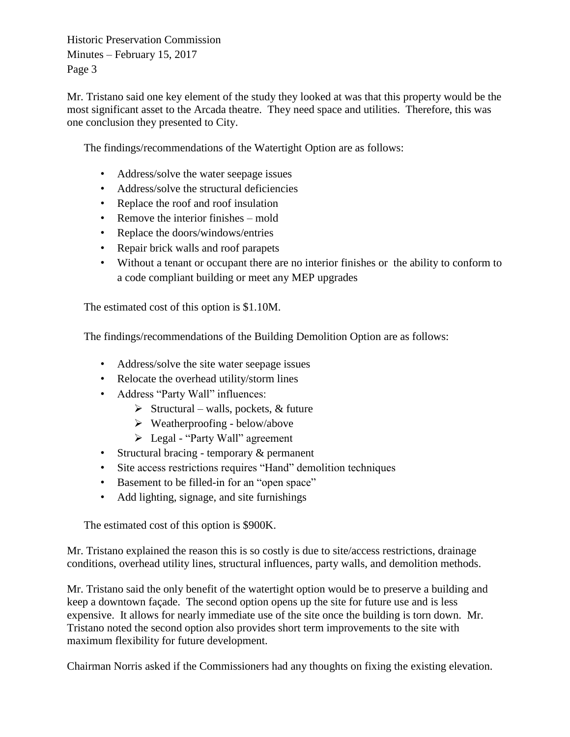Historic Preservation Commission Minutes – February 15, 2017 Page 3

Mr. Tristano said one key element of the study they looked at was that this property would be the most significant asset to the Arcada theatre. They need space and utilities. Therefore, this was one conclusion they presented to City.

The findings/recommendations of the Watertight Option are as follows:

- Address/solve the water seepage issues
- Address/solve the structural deficiencies
- Replace the roof and roof insulation
- Remove the interior finishes mold
- Replace the doors/windows/entries
- Repair brick walls and roof parapets
- Without a tenant or occupant there are no interior finishes or the ability to conform to a code compliant building or meet any MEP upgrades

The estimated cost of this option is \$1.10M.

The findings/recommendations of the Building Demolition Option are as follows:

- Address/solve the site water seepage issues
- Relocate the overhead utility/storm lines
- Address "Party Wall" influences:
	- $\triangleright$  Structural walls, pockets, & future
	- $\triangleright$  Weatherproofing below/above
	- Legal "Party Wall" agreement
- Structural bracing temporary & permanent
- Site access restrictions requires "Hand" demolition techniques
- Basement to be filled-in for an "open space"
- Add lighting, signage, and site furnishings

The estimated cost of this option is \$900K.

Mr. Tristano explained the reason this is so costly is due to site/access restrictions, drainage conditions, overhead utility lines, structural influences, party walls, and demolition methods.

Mr. Tristano said the only benefit of the watertight option would be to preserve a building and keep a downtown façade. The second option opens up the site for future use and is less expensive. It allows for nearly immediate use of the site once the building is torn down. Mr. Tristano noted the second option also provides short term improvements to the site with maximum flexibility for future development.

Chairman Norris asked if the Commissioners had any thoughts on fixing the existing elevation.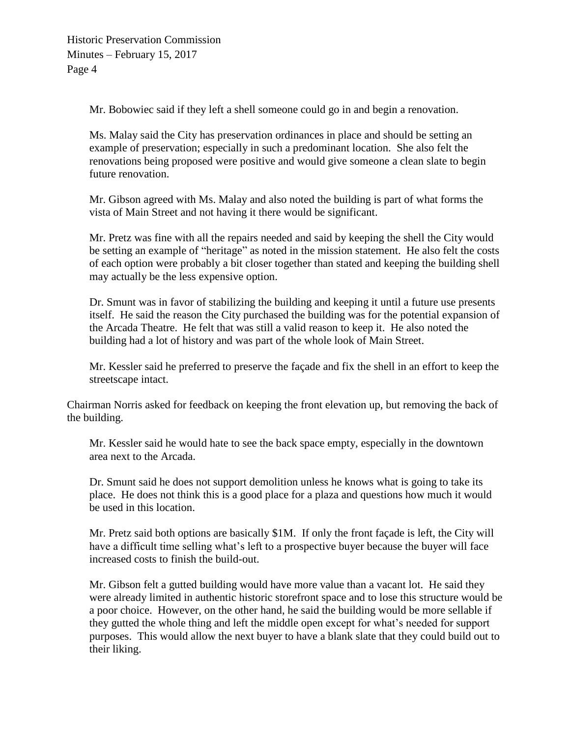Mr. Bobowiec said if they left a shell someone could go in and begin a renovation.

Ms. Malay said the City has preservation ordinances in place and should be setting an example of preservation; especially in such a predominant location. She also felt the renovations being proposed were positive and would give someone a clean slate to begin future renovation.

Mr. Gibson agreed with Ms. Malay and also noted the building is part of what forms the vista of Main Street and not having it there would be significant.

Mr. Pretz was fine with all the repairs needed and said by keeping the shell the City would be setting an example of "heritage" as noted in the mission statement. He also felt the costs of each option were probably a bit closer together than stated and keeping the building shell may actually be the less expensive option.

Dr. Smunt was in favor of stabilizing the building and keeping it until a future use presents itself. He said the reason the City purchased the building was for the potential expansion of the Arcada Theatre. He felt that was still a valid reason to keep it. He also noted the building had a lot of history and was part of the whole look of Main Street.

Mr. Kessler said he preferred to preserve the façade and fix the shell in an effort to keep the streetscape intact.

Chairman Norris asked for feedback on keeping the front elevation up, but removing the back of the building.

Mr. Kessler said he would hate to see the back space empty, especially in the downtown area next to the Arcada.

Dr. Smunt said he does not support demolition unless he knows what is going to take its place. He does not think this is a good place for a plaza and questions how much it would be used in this location.

Mr. Pretz said both options are basically \$1M. If only the front façade is left, the City will have a difficult time selling what's left to a prospective buyer because the buyer will face increased costs to finish the build-out.

Mr. Gibson felt a gutted building would have more value than a vacant lot. He said they were already limited in authentic historic storefront space and to lose this structure would be a poor choice. However, on the other hand, he said the building would be more sellable if they gutted the whole thing and left the middle open except for what's needed for support purposes. This would allow the next buyer to have a blank slate that they could build out to their liking.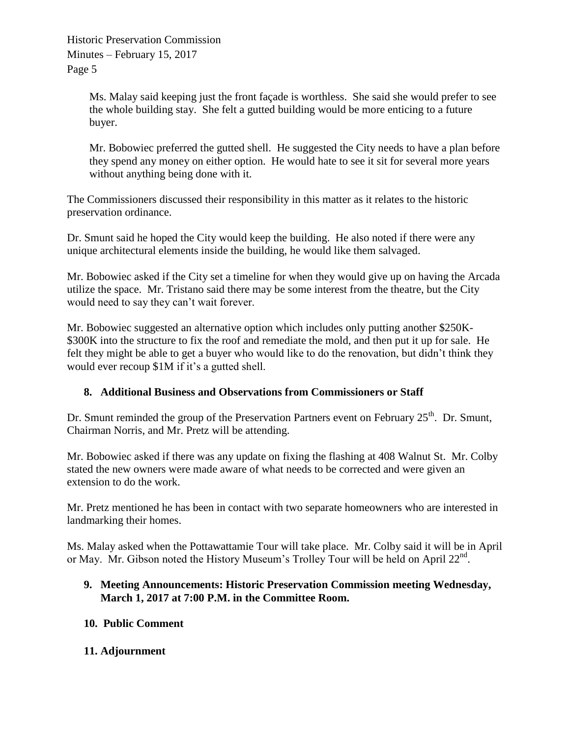Ms. Malay said keeping just the front façade is worthless. She said she would prefer to see the whole building stay. She felt a gutted building would be more enticing to a future buyer.

Mr. Bobowiec preferred the gutted shell. He suggested the City needs to have a plan before they spend any money on either option. He would hate to see it sit for several more years without anything being done with it.

The Commissioners discussed their responsibility in this matter as it relates to the historic preservation ordinance.

Dr. Smunt said he hoped the City would keep the building. He also noted if there were any unique architectural elements inside the building, he would like them salvaged.

Mr. Bobowiec asked if the City set a timeline for when they would give up on having the Arcada utilize the space. Mr. Tristano said there may be some interest from the theatre, but the City would need to say they can't wait forever.

Mr. Bobowiec suggested an alternative option which includes only putting another \$250K- \$300K into the structure to fix the roof and remediate the mold, and then put it up for sale. He felt they might be able to get a buyer who would like to do the renovation, but didn't think they would ever recoup \$1M if it's a gutted shell.

# **8. Additional Business and Observations from Commissioners or Staff**

Dr. Smunt reminded the group of the Preservation Partners event on February 25<sup>th</sup>. Dr. Smunt, Chairman Norris, and Mr. Pretz will be attending.

Mr. Bobowiec asked if there was any update on fixing the flashing at 408 Walnut St. Mr. Colby stated the new owners were made aware of what needs to be corrected and were given an extension to do the work.

Mr. Pretz mentioned he has been in contact with two separate homeowners who are interested in landmarking their homes.

Ms. Malay asked when the Pottawattamie Tour will take place. Mr. Colby said it will be in April or May. Mr. Gibson noted the History Museum's Trolley Tour will be held on April 22<sup>nd</sup>.

## **9. Meeting Announcements: Historic Preservation Commission meeting Wednesday, March 1, 2017 at 7:00 P.M. in the Committee Room.**

## **10. Public Comment**

## **11. Adjournment**